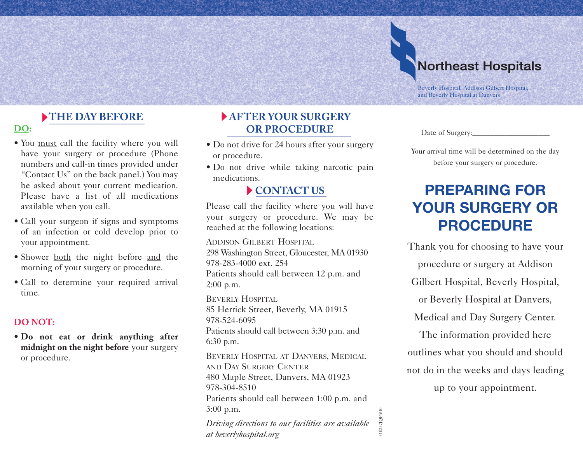# **Northeast Hospitals**

Beverly Hospital, Addison Gilbert Hospital, and Beverly Hospital at Danvers

Date of Surgery:

#### **THE DAY BEFORE**

#### **DO:**

- You must call the facility where you will have your surgery or procedure (Phone numbers and call-in times provided under "Contact Us" on the back panel.) You may be asked about your current medication. Please have a list of all medications available when you call.
- Call your surgeon if signs and symptoms of an infection or cold develop prior to your appointment.
- Shower both the night before and the morning of your surgery or procedure.
- Call to determine your required arrival time.

#### **DO NOT:**

• **Do not eat or drink anything after midnight on the night before** your surgery or procedure.

## **AFTER YOUR SURGERY OR PROCEDURE**

- Do not drive for 24 hours after your surgery or procedure.
- Do not drive while taking narcotic pain medications.

## **CONTACT US**

Please call the facility where you will have your surgery or procedure. We may be reached at the following locations:

ADDISON GILBERT HOSPITAL 298 Washington Street, Gloucester, MA 01930 978-283-4000 ext. 254 Patients should call between 12 p.m. and 2:00 p.m.

BEVERLY HOSPITAL 85 Herrick Street, Beverly, MA 01915 978-524-6095 Patients should call between 3:30 p.m. and 6:30 p.m.

BEVERLY HOSPITAL AT DANVERS, MEDICAL AND DAY SURGERY CENTER 480 Maple Street, Danvers, MA 01923 978-304-8510 Patients should call between 1:00 p.m. and 3:00 p.m. *Driving directions to our facilities are available* 3:00 p.m.<br>Driving directions to our facilities are available<br>at beverlyhospital.org

Your arrival time will be determined on the day

before your surgery or procedure.

# **PREPARING FOR YOUR SURGERY OR PROCEDURE**

Thank you for choosing to have your procedure or surgery at Addison Gilbert Hospital, Beverly Hospital, or Beverly Hospital at Danvers, Medical and Day Surgery Center. The information provided here outlines what you should and should not do in the weeks and days leading up to your appointment.